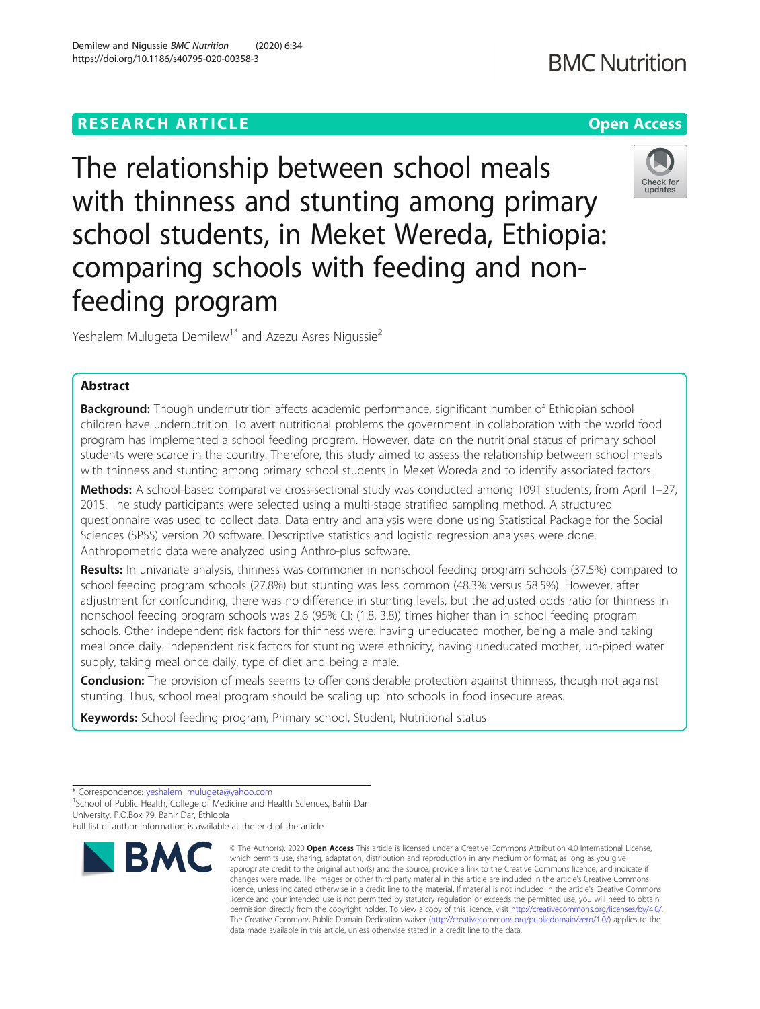# **RESEARCH ARTICLE Example 2014 12:30 The Contract of Contract ACCESS**

The relationship between school meals with thinness and stunting among primary school students, in Meket Wereda, Ethiopia: comparing schools with feeding and nonfeeding program

Yeshalem Mulugeta Demilew<sup>1\*</sup> and Azezu Asres Nigussie<sup>2</sup>

## Abstract

Background: Though undernutrition affects academic performance, significant number of Ethiopian school children have undernutrition. To avert nutritional problems the government in collaboration with the world food program has implemented a school feeding program. However, data on the nutritional status of primary school students were scarce in the country. Therefore, this study aimed to assess the relationship between school meals with thinness and stunting among primary school students in Meket Woreda and to identify associated factors.

Methods: A school-based comparative cross-sectional study was conducted among 1091 students, from April 1–27, 2015. The study participants were selected using a multi-stage stratified sampling method. A structured questionnaire was used to collect data. Data entry and analysis were done using Statistical Package for the Social Sciences (SPSS) version 20 software. Descriptive statistics and logistic regression analyses were done. Anthropometric data were analyzed using Anthro-plus software.

Results: In univariate analysis, thinness was commoner in nonschool feeding program schools (37.5%) compared to school feeding program schools (27.8%) but stunting was less common (48.3% versus 58.5%). However, after adjustment for confounding, there was no difference in stunting levels, but the adjusted odds ratio for thinness in nonschool feeding program schools was 2.6 (95% CI: (1.8, 3.8)) times higher than in school feeding program schools. Other independent risk factors for thinness were: having uneducated mother, being a male and taking meal once daily. Independent risk factors for stunting were ethnicity, having uneducated mother, un-piped water supply, taking meal once daily, type of diet and being a male.

Conclusion: The provision of meals seems to offer considerable protection against thinness, though not against stunting. Thus, school meal program should be scaling up into schools in food insecure areas.

Keywords: School feeding program, Primary school, Student, Nutritional status

**RMC** 

<sup>1</sup> School of Public Health, College of Medicine and Health Sciences, Bahir Dar University, P.O.Box 79, Bahir Dar, Ethiopia



© The Author(s), 2020 **Open Access** This article is licensed under a Creative Commons Attribution 4.0 International License, which permits use, sharing, adaptation, distribution and reproduction in any medium or format, as long as you give





<sup>\*</sup> Correspondence: [yeshalem\\_mulugeta@yahoo.com](mailto:yeshalem_mulugeta@yahoo.com) <sup>1</sup>

Full list of author information is available at the end of the article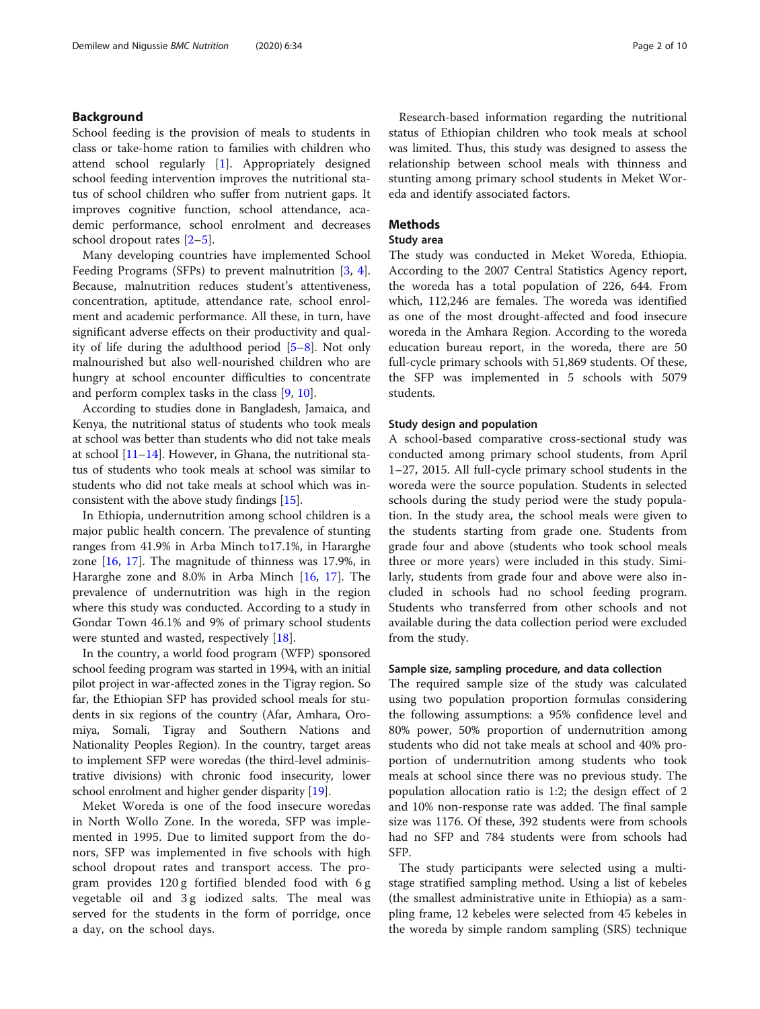### Background

School feeding is the provision of meals to students in class or take-home ration to families with children who attend school regularly [[1\]](#page-8-0). Appropriately designed school feeding intervention improves the nutritional status of school children who suffer from nutrient gaps. It improves cognitive function, school attendance, academic performance, school enrolment and decreases school dropout rates [\[2](#page-8-0)–[5\]](#page-8-0).

Many developing countries have implemented School Feeding Programs (SFPs) to prevent malnutrition [[3](#page-8-0), [4](#page-8-0)]. Because, malnutrition reduces student's attentiveness, concentration, aptitude, attendance rate, school enrolment and academic performance. All these, in turn, have significant adverse effects on their productivity and quality of life during the adulthood period [[5](#page-8-0)–[8](#page-8-0)]. Not only malnourished but also well-nourished children who are hungry at school encounter difficulties to concentrate and perform complex tasks in the class [\[9](#page-8-0), [10\]](#page-8-0).

According to studies done in Bangladesh, Jamaica, and Kenya, the nutritional status of students who took meals at school was better than students who did not take meals at school  $[11-14]$  $[11-14]$  $[11-14]$  $[11-14]$ . However, in Ghana, the nutritional status of students who took meals at school was similar to students who did not take meals at school which was inconsistent with the above study findings [\[15](#page-8-0)].

In Ethiopia, undernutrition among school children is a major public health concern. The prevalence of stunting ranges from 41.9% in Arba Minch to17.1%, in Hararghe zone [[16,](#page-8-0) [17](#page-8-0)]. The magnitude of thinness was 17.9%, in Hararghe zone and 8.0% in Arba Minch [\[16,](#page-8-0) [17](#page-8-0)]. The prevalence of undernutrition was high in the region where this study was conducted. According to a study in Gondar Town 46.1% and 9% of primary school students were stunted and wasted, respectively [[18\]](#page-8-0).

In the country, a world food program (WFP) sponsored school feeding program was started in 1994, with an initial pilot project in war-affected zones in the Tigray region. So far, the Ethiopian SFP has provided school meals for students in six regions of the country (Afar, Amhara, Oromiya, Somali, Tigray and Southern Nations and Nationality Peoples Region). In the country, target areas to implement SFP were woredas (the third-level administrative divisions) with chronic food insecurity, lower school enrolment and higher gender disparity [[19](#page-9-0)].

Meket Woreda is one of the food insecure woredas in North Wollo Zone. In the woreda, SFP was implemented in 1995. Due to limited support from the donors, SFP was implemented in five schools with high school dropout rates and transport access. The program provides 120 g fortified blended food with 6 g vegetable oil and 3 g iodized salts. The meal was served for the students in the form of porridge, once a day, on the school days.

Research-based information regarding the nutritional status of Ethiopian children who took meals at school was limited. Thus, this study was designed to assess the relationship between school meals with thinness and stunting among primary school students in Meket Woreda and identify associated factors.

### Methods

#### Study area

The study was conducted in Meket Woreda, Ethiopia. According to the 2007 Central Statistics Agency report, the woreda has a total population of 226, 644. From which, 112,246 are females. The woreda was identified as one of the most drought-affected and food insecure woreda in the Amhara Region. According to the woreda education bureau report, in the woreda, there are 50 full-cycle primary schools with 51,869 students. Of these, the SFP was implemented in 5 schools with 5079 students.

### Study design and population

A school-based comparative cross-sectional study was conducted among primary school students, from April 1–27, 2015. All full-cycle primary school students in the woreda were the source population. Students in selected schools during the study period were the study population. In the study area, the school meals were given to the students starting from grade one. Students from grade four and above (students who took school meals three or more years) were included in this study. Similarly, students from grade four and above were also included in schools had no school feeding program. Students who transferred from other schools and not available during the data collection period were excluded from the study.

#### Sample size, sampling procedure, and data collection

The required sample size of the study was calculated using two population proportion formulas considering the following assumptions: a 95% confidence level and 80% power, 50% proportion of undernutrition among students who did not take meals at school and 40% proportion of undernutrition among students who took meals at school since there was no previous study. The population allocation ratio is 1:2; the design effect of 2 and 10% non-response rate was added. The final sample size was 1176. Of these, 392 students were from schools had no SFP and 784 students were from schools had SFP.

The study participants were selected using a multistage stratified sampling method. Using a list of kebeles (the smallest administrative unite in Ethiopia) as a sampling frame, 12 kebeles were selected from 45 kebeles in the woreda by simple random sampling (SRS) technique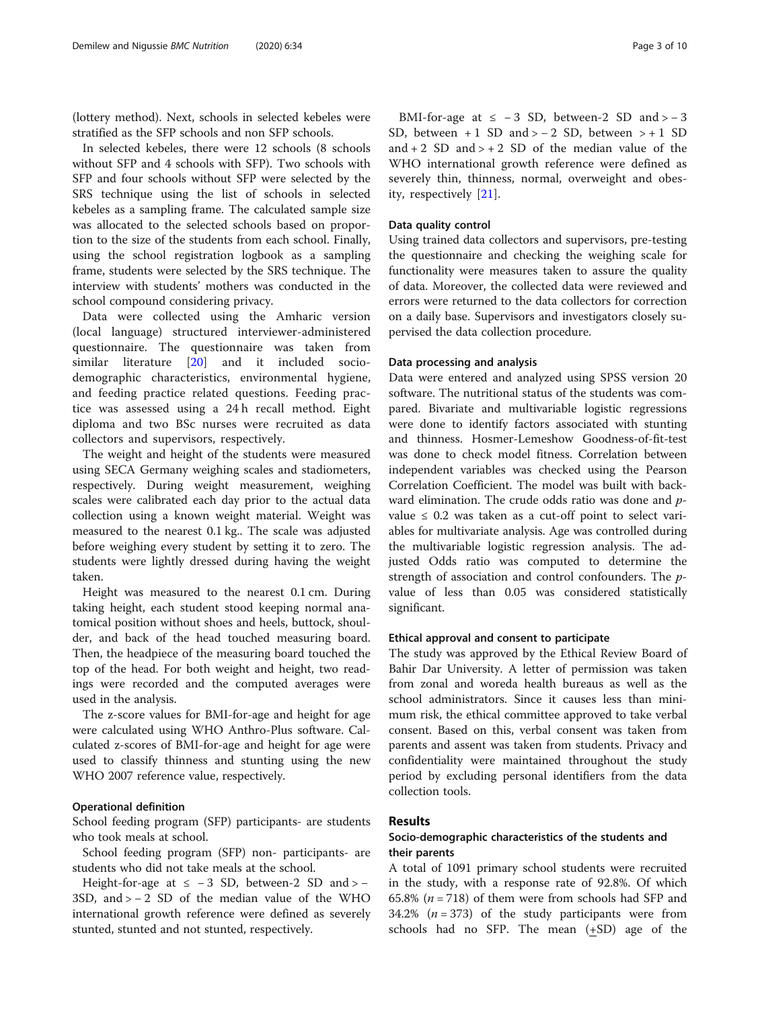(lottery method). Next, schools in selected kebeles were stratified as the SFP schools and non SFP schools.

In selected kebeles, there were 12 schools (8 schools without SFP and 4 schools with SFP). Two schools with SFP and four schools without SFP were selected by the SRS technique using the list of schools in selected kebeles as a sampling frame. The calculated sample size was allocated to the selected schools based on proportion to the size of the students from each school. Finally, using the school registration logbook as a sampling frame, students were selected by the SRS technique. The interview with students' mothers was conducted in the school compound considering privacy.

Data were collected using the Amharic version (local language) structured interviewer-administered questionnaire. The questionnaire was taken from similar literature [\[20](#page-9-0)] and it included sociodemographic characteristics, environmental hygiene, and feeding practice related questions. Feeding practice was assessed using a 24 h recall method. Eight diploma and two BSc nurses were recruited as data collectors and supervisors, respectively.

The weight and height of the students were measured using SECA Germany weighing scales and stadiometers, respectively. During weight measurement, weighing scales were calibrated each day prior to the actual data collection using a known weight material. Weight was measured to the nearest 0.1 kg.. The scale was adjusted before weighing every student by setting it to zero. The students were lightly dressed during having the weight taken.

Height was measured to the nearest 0.1 cm. During taking height, each student stood keeping normal anatomical position without shoes and heels, buttock, shoulder, and back of the head touched measuring board. Then, the headpiece of the measuring board touched the top of the head. For both weight and height, two readings were recorded and the computed averages were used in the analysis.

The z-score values for BMI-for-age and height for age were calculated using WHO Anthro-Plus software. Calculated z-scores of BMI-for-age and height for age were used to classify thinness and stunting using the new WHO 2007 reference value, respectively.

#### Operational definition

School feeding program (SFP) participants- are students who took meals at school.

School feeding program (SFP) non- participants- are students who did not take meals at the school.

Height-for-age at  $\le -3$  SD, between-2 SD and > − 3SD, and > − 2 SD of the median value of the WHO international growth reference were defined as severely stunted, stunted and not stunted, respectively.

BMI-for-age at  $\le -3$  SD, between-2 SD and > -3 SD, between + 1 SD and >  $- 2$  SD, between > + 1 SD and  $+ 2$  SD and  $> + 2$  SD of the median value of the WHO international growth reference were defined as severely thin, thinness, normal, overweight and obesity, respectively [[21\]](#page-9-0).

### Data quality control

Using trained data collectors and supervisors, pre-testing the questionnaire and checking the weighing scale for functionality were measures taken to assure the quality of data. Moreover, the collected data were reviewed and errors were returned to the data collectors for correction on a daily base. Supervisors and investigators closely supervised the data collection procedure.

#### Data processing and analysis

Data were entered and analyzed using SPSS version 20 software. The nutritional status of the students was compared. Bivariate and multivariable logistic regressions were done to identify factors associated with stunting and thinness. Hosmer-Lemeshow Goodness-of-fit-test was done to check model fitness. Correlation between independent variables was checked using the Pearson Correlation Coefficient. The model was built with backward elimination. The crude odds ratio was done and pvalue ≤ 0.2 was taken as a cut-off point to select variables for multivariate analysis. Age was controlled during the multivariable logistic regression analysis. The adjusted Odds ratio was computed to determine the strength of association and control confounders. The pvalue of less than 0.05 was considered statistically significant.

#### Ethical approval and consent to participate

The study was approved by the Ethical Review Board of Bahir Dar University. A letter of permission was taken from zonal and woreda health bureaus as well as the school administrators. Since it causes less than minimum risk, the ethical committee approved to take verbal consent. Based on this, verbal consent was taken from parents and assent was taken from students. Privacy and confidentiality were maintained throughout the study period by excluding personal identifiers from the data collection tools.

### Results

### Socio-demographic characteristics of the students and their parents

A total of 1091 primary school students were recruited in the study, with a response rate of 92.8%. Of which 65.8% ( $n = 718$ ) of them were from schools had SFP and 34.2% ( $n = 373$ ) of the study participants were from schools had no SFP. The mean  $(+SD)$  age of the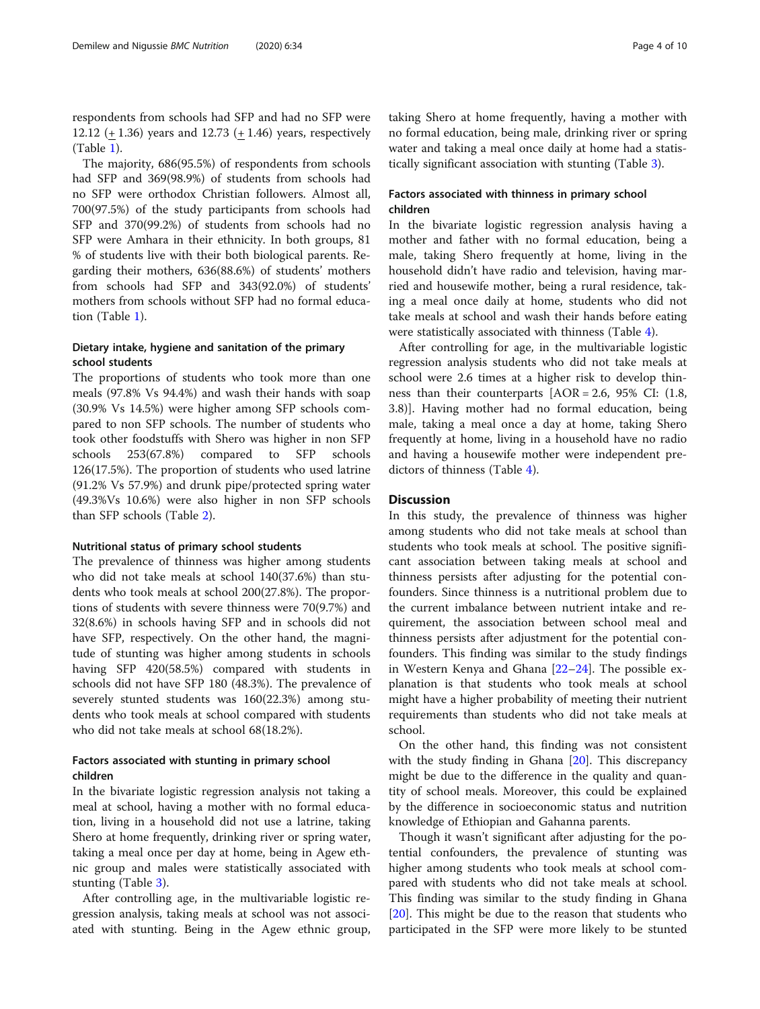respondents from schools had SFP and had no SFP were 12.12 (+ 1.36) years and 12.73 (+ 1.46) years, respectively (Table [1\)](#page-4-0).

The majority, 686(95.5%) of respondents from schools had SFP and 369(98.9%) of students from schools had no SFP were orthodox Christian followers. Almost all, 700(97.5%) of the study participants from schools had SFP and 370(99.2%) of students from schools had no SFP were Amhara in their ethnicity. In both groups, 81 % of students live with their both biological parents. Regarding their mothers, 636(88.6%) of students' mothers from schools had SFP and 343(92.0%) of students' mothers from schools without SFP had no formal education (Table [1\)](#page-4-0).

### Dietary intake, hygiene and sanitation of the primary school students

The proportions of students who took more than one meals (97.8% Vs 94.4%) and wash their hands with soap (30.9% Vs 14.5%) were higher among SFP schools compared to non SFP schools. The number of students who took other foodstuffs with Shero was higher in non SFP schools 253(67.8%) compared to SFP schools 126(17.5%). The proportion of students who used latrine (91.2% Vs 57.9%) and drunk pipe/protected spring water (49.3%Vs 10.6%) were also higher in non SFP schools than SFP schools (Table [2\)](#page-5-0).

#### Nutritional status of primary school students

The prevalence of thinness was higher among students who did not take meals at school 140(37.6%) than students who took meals at school 200(27.8%). The proportions of students with severe thinness were 70(9.7%) and 32(8.6%) in schools having SFP and in schools did not have SFP, respectively. On the other hand, the magnitude of stunting was higher among students in schools having SFP 420(58.5%) compared with students in schools did not have SFP 180 (48.3%). The prevalence of severely stunted students was 160(22.3%) among students who took meals at school compared with students who did not take meals at school 68(18.2%).

### Factors associated with stunting in primary school children

In the bivariate logistic regression analysis not taking a meal at school, having a mother with no formal education, living in a household did not use a latrine, taking Shero at home frequently, drinking river or spring water, taking a meal once per day at home, being in Agew ethnic group and males were statistically associated with stunting (Table [3](#page-6-0)).

After controlling age, in the multivariable logistic regression analysis, taking meals at school was not associated with stunting. Being in the Agew ethnic group,

taking Shero at home frequently, having a mother with no formal education, being male, drinking river or spring water and taking a meal once daily at home had a statistically significant association with stunting (Table [3](#page-6-0)).

### Factors associated with thinness in primary school children

In the bivariate logistic regression analysis having a mother and father with no formal education, being a male, taking Shero frequently at home, living in the household didn't have radio and television, having married and housewife mother, being a rural residence, taking a meal once daily at home, students who did not take meals at school and wash their hands before eating were statistically associated with thinness (Table [4\)](#page-7-0).

After controlling for age, in the multivariable logistic regression analysis students who did not take meals at school were 2.6 times at a higher risk to develop thinness than their counterparts [AOR = 2.6, 95% CI: (1.8, 3.8)]. Having mother had no formal education, being male, taking a meal once a day at home, taking Shero frequently at home, living in a household have no radio and having a housewife mother were independent predictors of thinness (Table [4](#page-7-0)).

### **Discussion**

In this study, the prevalence of thinness was higher among students who did not take meals at school than students who took meals at school. The positive significant association between taking meals at school and thinness persists after adjusting for the potential confounders. Since thinness is a nutritional problem due to the current imbalance between nutrient intake and requirement, the association between school meal and thinness persists after adjustment for the potential confounders. This finding was similar to the study findings in Western Kenya and Ghana [\[22](#page-9-0)–[24](#page-9-0)]. The possible explanation is that students who took meals at school might have a higher probability of meeting their nutrient requirements than students who did not take meals at school.

On the other hand, this finding was not consistent with the study finding in Ghana [\[20\]](#page-9-0). This discrepancy might be due to the difference in the quality and quantity of school meals. Moreover, this could be explained by the difference in socioeconomic status and nutrition knowledge of Ethiopian and Gahanna parents.

Though it wasn't significant after adjusting for the potential confounders, the prevalence of stunting was higher among students who took meals at school compared with students who did not take meals at school. This finding was similar to the study finding in Ghana [[20\]](#page-9-0). This might be due to the reason that students who participated in the SFP were more likely to be stunted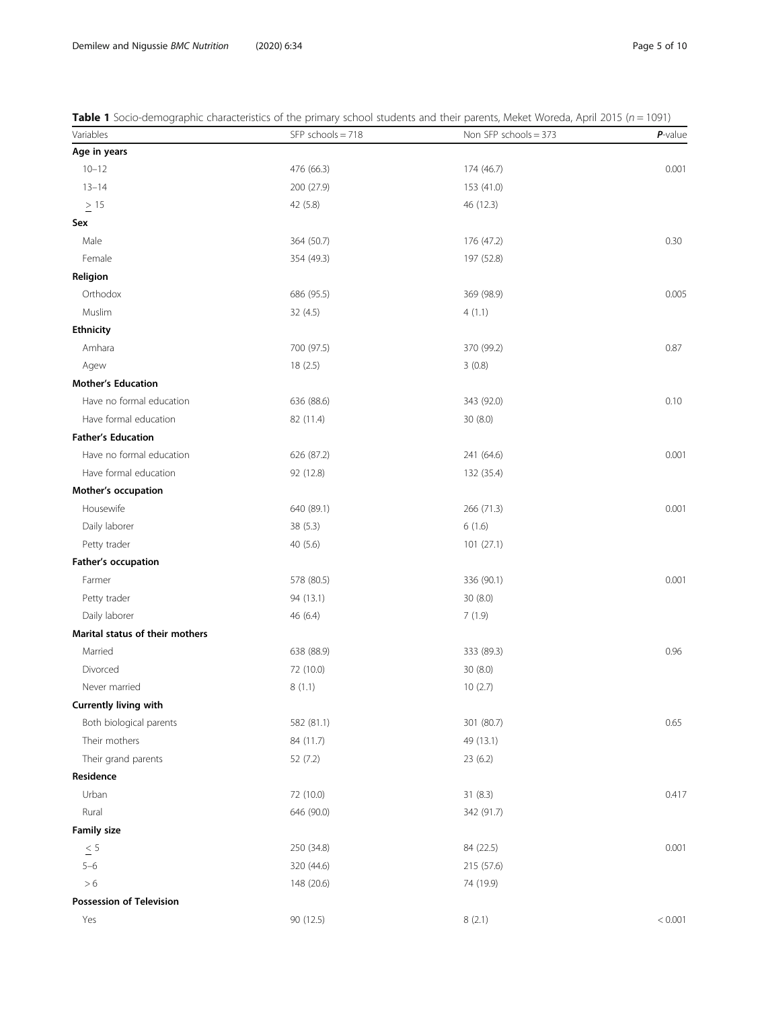<span id="page-4-0"></span>

|  |  |  |  |  | Table 1 Socio-demographic characteristics of the primary school students and their parents, Meket Woreda, April 2015 (n = 1091) |
|--|--|--|--|--|---------------------------------------------------------------------------------------------------------------------------------|
|--|--|--|--|--|---------------------------------------------------------------------------------------------------------------------------------|

| Variables                       | $SFP$ schools = 718 | Non SFP schools = 373 | $P$ -value |
|---------------------------------|---------------------|-----------------------|------------|
| Age in years                    |                     |                       |            |
| $10 - 12$                       | 476 (66.3)          | 174 (46.7)            | 0.001      |
| $13 - 14$                       | 200 (27.9)          | 153 (41.0)            |            |
| $\geq$ 15                       | 42 (5.8)            | 46 (12.3)             |            |
| Sex                             |                     |                       |            |
| Male                            | 364 (50.7)          | 176 (47.2)            | 0.30       |
| Female                          | 354 (49.3)          | 197 (52.8)            |            |
| Religion                        |                     |                       |            |
| Orthodox                        | 686 (95.5)          | 369 (98.9)            | 0.005      |
| Muslim                          | 32(4.5)             | 4(1.1)                |            |
| <b>Ethnicity</b>                |                     |                       |            |
| Amhara                          | 700 (97.5)          | 370 (99.2)            | 0.87       |
| Agew                            | 18(2.5)             | 3(0.8)                |            |
| <b>Mother's Education</b>       |                     |                       |            |
| Have no formal education        | 636 (88.6)          | 343 (92.0)            | 0.10       |
| Have formal education           | 82 (11.4)           | 30(8.0)               |            |
| <b>Father's Education</b>       |                     |                       |            |
| Have no formal education        | 626 (87.2)          | 241 (64.6)            | 0.001      |
| Have formal education           | 92 (12.8)           | 132 (35.4)            |            |
| Mother's occupation             |                     |                       |            |
| Housewife                       | 640 (89.1)          | 266 (71.3)            | 0.001      |
| Daily laborer                   | 38 (5.3)            | 6(1.6)                |            |
| Petty trader                    | 40 (5.6)            | 101(27.1)             |            |
| Father's occupation             |                     |                       |            |
| Farmer                          | 578 (80.5)          | 336 (90.1)            | 0.001      |
| Petty trader                    | 94 (13.1)           | 30 (8.0)              |            |
| Daily laborer                   | 46(6.4)             | 7(1.9)                |            |
| Marital status of their mothers |                     |                       |            |
| Married                         | 638 (88.9)          | 333 (89.3)            | 0.96       |
| Divorced                        | 72 (10.0)           | 30(8.0)               |            |
| Never married                   | 8(1.1)              | 10(2.7)               |            |
| Currently living with           |                     |                       |            |
| Both biological parents         | 582 (81.1)          | 301 (80.7)            | 0.65       |
| Their mothers                   | 84 (11.7)           | 49 (13.1)             |            |
| Their grand parents             | 52 (7.2)            | 23 (6.2)              |            |
| Residence                       |                     |                       |            |
| Urban                           | 72 (10.0)           | 31 (8.3)              | 0.417      |
| Rural                           | 646 (90.0)          | 342 (91.7)            |            |
| <b>Family size</b>              |                     |                       |            |
| $\leq 5$                        | 250 (34.8)          | 84 (22.5)             | 0.001      |
| $5 - 6$                         | 320 (44.6)          | 215 (57.6)            |            |
| $> 6$                           | 148 (20.6)          | 74 (19.9)             |            |
| <b>Possession of Television</b> |                     |                       |            |
| Yes                             | 90 (12.5)           | 8(2.1)                | < 0.001    |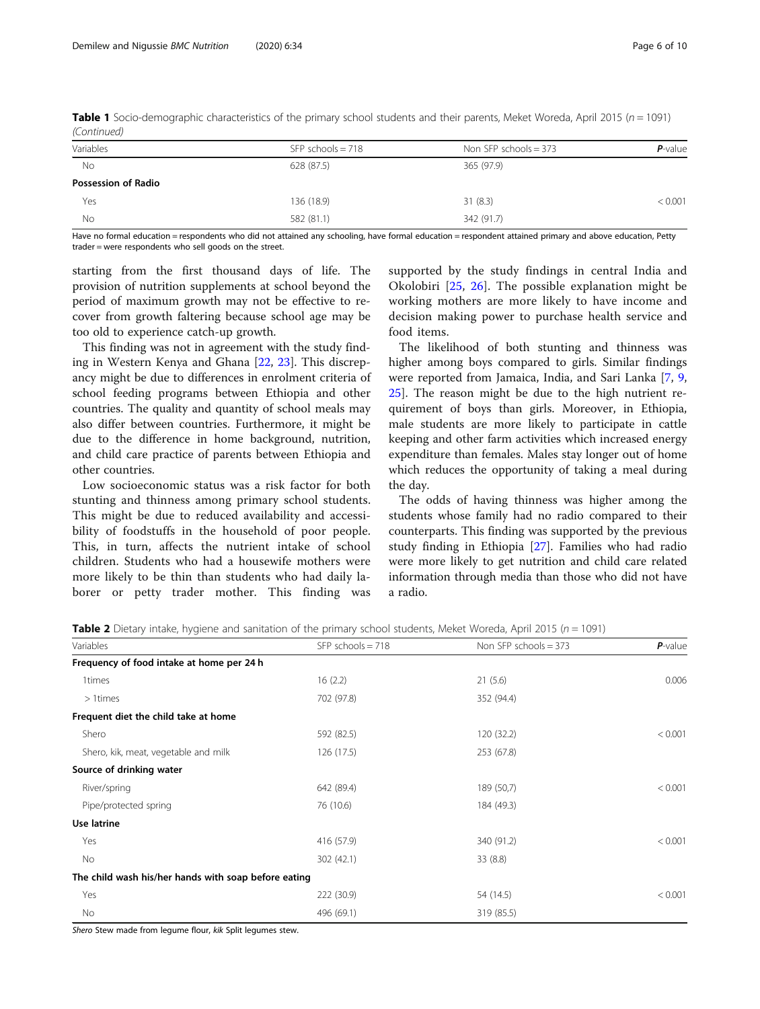| Variables                  | $SFP$ schools = 718 | Non SFP schools $=$ 373 | $P$ -value |
|----------------------------|---------------------|-------------------------|------------|
| <b>No</b>                  | 628 (87.5)          | 365 (97.9)              |            |
| <b>Possession of Radio</b> |                     |                         |            |
| Yes                        | 136 (18.9)          | 31(8.3)                 | < 0.001    |
| No                         | 582 (81.1)          | 342 (91.7)              |            |
|                            |                     |                         |            |

<span id="page-5-0"></span>Table 1 Socio-demographic characteristics of the primary school students and their parents, Meket Woreda, April 2015 ( $n = 1091$ ) (Continued)

Have no formal education = respondents who did not attained any schooling, have formal education = respondent attained primary and above education, Petty trader = were respondents who sell goods on the street.

starting from the first thousand days of life. The provision of nutrition supplements at school beyond the period of maximum growth may not be effective to recover from growth faltering because school age may be too old to experience catch-up growth.

This finding was not in agreement with the study finding in Western Kenya and Ghana [\[22](#page-9-0), [23\]](#page-9-0). This discrepancy might be due to differences in enrolment criteria of school feeding programs between Ethiopia and other countries. The quality and quantity of school meals may also differ between countries. Furthermore, it might be due to the difference in home background, nutrition, and child care practice of parents between Ethiopia and other countries.

Low socioeconomic status was a risk factor for both stunting and thinness among primary school students. This might be due to reduced availability and accessibility of foodstuffs in the household of poor people. This, in turn, affects the nutrient intake of school children. Students who had a housewife mothers were more likely to be thin than students who had daily laborer or petty trader mother. This finding was supported by the study findings in central India and Okolobiri [\[25](#page-9-0), [26](#page-9-0)]. The possible explanation might be working mothers are more likely to have income and decision making power to purchase health service and food items.

The likelihood of both stunting and thinness was higher among boys compared to girls. Similar findings were reported from Jamaica, India, and Sari Lanka [\[7,](#page-8-0) [9](#page-8-0), [25\]](#page-9-0). The reason might be due to the high nutrient requirement of boys than girls. Moreover, in Ethiopia, male students are more likely to participate in cattle keeping and other farm activities which increased energy expenditure than females. Males stay longer out of home which reduces the opportunity of taking a meal during the day.

The odds of having thinness was higher among the students whose family had no radio compared to their counterparts. This finding was supported by the previous study finding in Ethiopia [[27](#page-9-0)]. Families who had radio were more likely to get nutrition and child care related information through media than those who did not have a radio.

**Table 2** Dietary intake, hygiene and sanitation of the primary school students, Meket Woreda, April 2015 ( $n = 1091$ )

| Variables                                            | $SFP$ schools = 718 | Non SFP schools $=$ 373 | $P$ -value |
|------------------------------------------------------|---------------------|-------------------------|------------|
| Frequency of food intake at home per 24 h            |                     |                         |            |
| 1times                                               | 16(2.2)             | 21(5.6)                 | 0.006      |
| $>1$ times                                           | 702 (97.8)          | 352 (94.4)              |            |
| Frequent diet the child take at home                 |                     |                         |            |
| Shero                                                | 592 (82.5)          | 120 (32.2)              | < 0.001    |
| Shero, kik, meat, vegetable and milk                 | 126(17.5)           | 253 (67.8)              |            |
| Source of drinking water                             |                     |                         |            |
| River/spring                                         | 642 (89.4)          | 189 (50,7)              | < 0.001    |
| Pipe/protected spring                                | 76 (10.6)           | 184 (49.3)              |            |
| Use latrine                                          |                     |                         |            |
| Yes                                                  | 416 (57.9)          | 340 (91.2)              | < 0.001    |
| No                                                   | 302 (42.1)          | 33(8.8)                 |            |
| The child wash his/her hands with soap before eating |                     |                         |            |
| Yes                                                  | 222 (30.9)          | 54 (14.5)               | < 0.001    |
| No                                                   | 496 (69.1)          | 319 (85.5)              |            |

Shero Stew made from legume flour, kik Split legumes stew.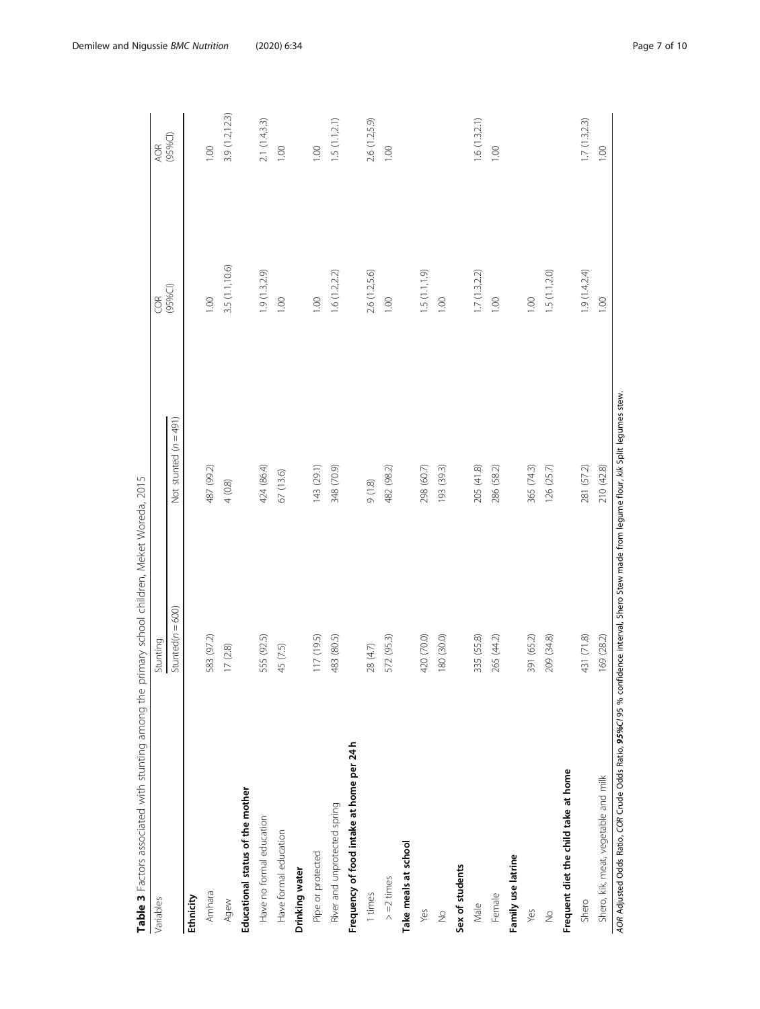<span id="page-6-0"></span>

| Variables                                 | Stunting              |                         | <b>ES</b>               | AOR            |
|-------------------------------------------|-----------------------|-------------------------|-------------------------|----------------|
|                                           | Stunted ( $n = 600$ ) | Not stunted $(n = 491)$ | (95%C)                  | (95%C)         |
| Ethnicity                                 |                       |                         |                         |                |
| Amhara                                    | 583 (97.2)            | 487 (99.2)              | 001                     | 001            |
| Agew                                      | 17(2.8)               | $4(0.8)$                | 3.5 (1.1,10.6)          | 3.9 (1.2,12.3) |
| Educational status of the mother          |                       |                         |                         |                |
| Have no formal education                  | 555 (92.5)            | 424 (86.4)              | 1.9(1.3,2.9)            | 2.1(1.4,3.3)   |
| Have formal education                     | 45 (7.5)              | 67 (13.6)               | 0.00                    | 00.1           |
| Drinking water                            |                       |                         |                         |                |
| Pipe or protected                         | 117 (19.5)            | 143 (29.1)              | 1.00                    | 001            |
| River and unprotected spring              | 483 (80.5)            | 348 (70.9)              | 1.6(1.2, 2.2)           | 1.5(1.1, 2.1)  |
| Frequency of food intake at home per 24 h |                       |                         |                         |                |
| 1 times                                   | 28(4.7)               | 9(1.8)                  | 2.6 (1.2,5.6)           | 2.6 (1.2,5.9)  |
| $> = 2$ times                             | 572 (95.3)            | 482 (98.2)              | 0.00                    | 0.0            |
| Take meals at school                      |                       |                         |                         |                |
| Yes                                       | 420 (70.0)            | 298 (60.7)              | $(6.1, 1.5)$ (1.1, 1.9) |                |
| $\frac{1}{2}$                             | 180 (30.0)            | 193 (39.3)              | 0.00                    |                |
| Sex of students                           |                       |                         |                         |                |
| Male                                      | 335 (55.8)            | 205 (41.8)              | 1.7(1.3,2.2)            | 1.6(1.3,2.1)   |
| Female                                    | 265 (44.2)            | 286 (58.2)              | 00.1                    | 0.0            |
| Family use latrine                        |                       |                         |                         |                |
| Yes                                       | 391 (65.2)            | 365 (74.3)              | 001                     |                |
| $\frac{1}{2}$                             | 209 (34.8)            | 126 (25.7)              | 1.5(1.1, 2.0)           |                |
| Frequent diet the child take at home      |                       |                         |                         |                |
| Shero                                     | 431 (71.8)            | 281 (57.2)              | 1.9(1.4, 2.4)           | 1.7(1.3,2.3)   |
| Shero, kik, meat, vegetable and milk      | 169 (28.2)            | 210 (42.8)              | 1.00                    | 1.00           |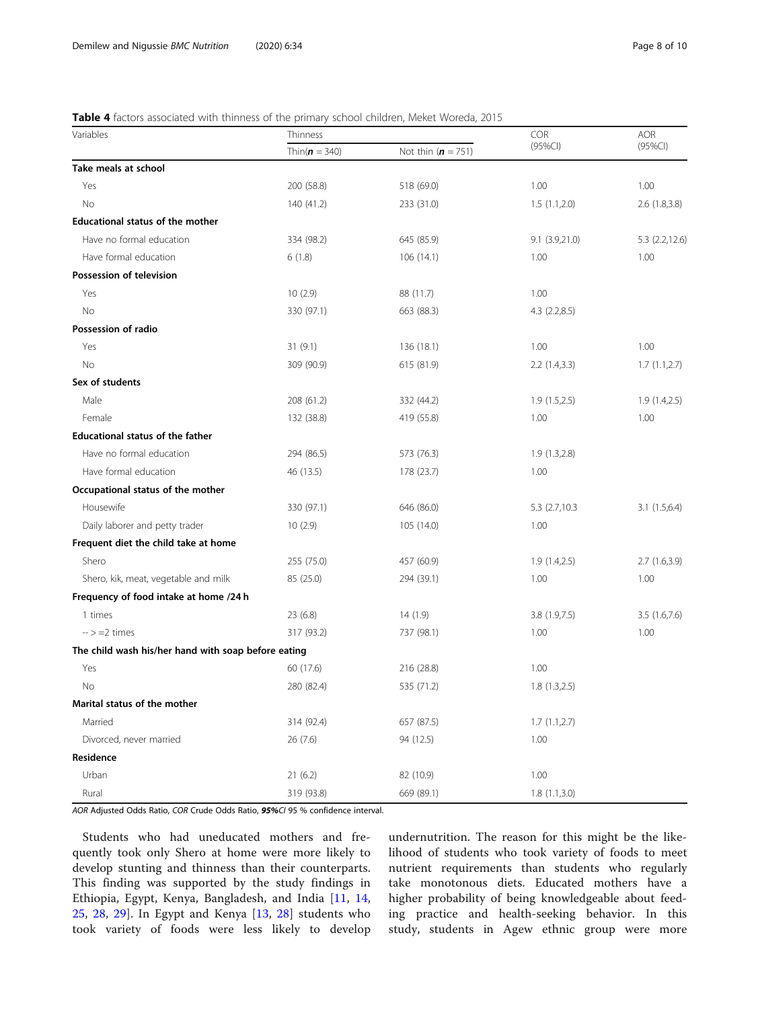### <span id="page-7-0"></span>Table 4 factors associated with thinness of the primary school children, Meket Woreda, 2015

| Variables                                           | Thinness          |                      |                | AOR            |
|-----------------------------------------------------|-------------------|----------------------|----------------|----------------|
|                                                     | Thin( $n = 340$ ) | Not thin $(n = 751)$ | $(95\%CI)$     | $(95\%CI)$     |
| Take meals at school                                |                   |                      |                |                |
| Yes                                                 | 200 (58.8)        | 518 (69.0)           | 1.00           | 1.00           |
| No                                                  | 140 (41.2)        | 233 (31.0)           | 1.5(1.1,2.0)   | 2.6(1.8, 3.8)  |
| <b>Educational status of the mother</b>             |                   |                      |                |                |
| Have no formal education                            | 334 (98.2)        | 645 (85.9)           | 9.1(3.9,21.0)  | 5.3 (2.2,12.6) |
| Have formal education                               | 6(1.8)            | 106(14.1)            | 1.00           | 1.00           |
| Possession of television                            |                   |                      |                |                |
| Yes                                                 | 10(2.9)           | 88 (11.7)            | 1.00           |                |
| No                                                  | 330 (97.1)        | 663 (88.3)           | 4.3(2.2,8.5)   |                |
| Possession of radio                                 |                   |                      |                |                |
| Yes                                                 | 31(9.1)           | 136 (18.1)           | 1.00           | 1.00           |
| No                                                  | 309 (90.9)        | 615 (81.9)           | 2.2(1.4, 3.3)  | 1.7(1.1,2.7)   |
| Sex of students                                     |                   |                      |                |                |
| Male                                                | 208 (61.2)        | 332 (44.2)           | 1.9(1.5,2.5)   | 1.9(1.4,2.5)   |
| Female                                              | 132 (38.8)        | 419 (55.8)           | 1.00           | 1.00           |
| <b>Educational status of the father</b>             |                   |                      |                |                |
| Have no formal education                            | 294 (86.5)        | 573 (76.3)           | 1.9(1.3,2.8)   |                |
| Have formal education                               | 46 (13.5)         | 178 (23.7)           | 1.00           |                |
| Occupational status of the mother                   |                   |                      |                |                |
| Housewife                                           | 330 (97.1)        | 646 (86.0)           | 5.3 (2.7,10.3) | 3.1(1.5,6.4)   |
| Daily laborer and petty trader                      | 10(2.9)           | 105 (14.0)           | 1.00           |                |
| Frequent diet the child take at home                |                   |                      |                |                |
| Shero                                               | 255 (75.0)        | 457 (60.9)           | 1.9(1.4,2.5)   | 2.7(1.6,3.9)   |
| Shero, kik, meat, vegetable and milk                | 85 (25.0)         | 294 (39.1)           | 1.00           | 1.00           |
| Frequency of food intake at home /24 h              |                   |                      |                |                |
| 1 times                                             | 23 (6.8)          | 14(1.9)              | 3.8(1.9,7.5)   | 3.5(1.6, 7.6)  |
| $\rightarrow$ =2 times                              | 317 (93.2)        | 737 (98.1)           | 1.00           | 1.00           |
| The child wash his/her hand with soap before eating |                   |                      |                |                |
| Yes                                                 | 60 (17.6)         | 216 (28.8)           | 1.00           |                |
| No                                                  | 280 (82.4)        | 535 (71.2)           | 1.8(1.3,2.5)   |                |
| Marital status of the mother                        |                   |                      |                |                |
| Married                                             | 314 (92.4)        | 657 (87.5)           | 1.7(1.1,2.7)   |                |
| Divorced, never married                             | 26(7.6)           | 94 (12.5)            | 1.00           |                |
| Residence                                           |                   |                      |                |                |
| Urban                                               | 21(6.2)           | 82 (10.9)            | 1.00           |                |
| Rural                                               | 319 (93.8)        | 669 (89.1)           | 1.8(1.1,3.0)   |                |

AOR Adjusted Odds Ratio, COR Crude Odds Ratio, 95%CI 95 % confidence interval.

Students who had uneducated mothers and frequently took only Shero at home were more likely to develop stunting and thinness than their counterparts. This finding was supported by the study findings in Ethiopia, Egypt, Kenya, Bangladesh, and India [[11,](#page-8-0) [14](#page-8-0), [25,](#page-9-0) [28,](#page-9-0) [29](#page-9-0)]. In Egypt and Kenya [[13,](#page-8-0) [28\]](#page-9-0) students who took variety of foods were less likely to develop undernutrition. The reason for this might be the likelihood of students who took variety of foods to meet nutrient requirements than students who regularly take monotonous diets. Educated mothers have a higher probability of being knowledgeable about feeding practice and health-seeking behavior. In this study, students in Agew ethnic group were more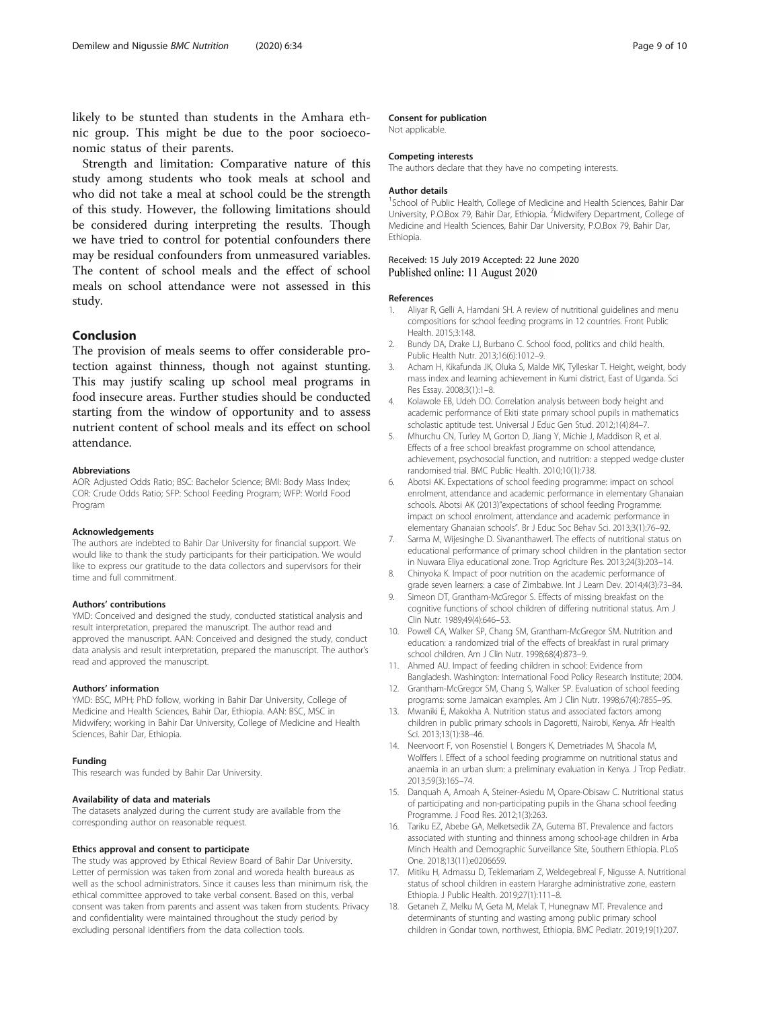<span id="page-8-0"></span>likely to be stunted than students in the Amhara ethnic group. This might be due to the poor socioeconomic status of their parents.

Strength and limitation: Comparative nature of this study among students who took meals at school and who did not take a meal at school could be the strength of this study. However, the following limitations should be considered during interpreting the results. Though we have tried to control for potential confounders there may be residual confounders from unmeasured variables. The content of school meals and the effect of school meals on school attendance were not assessed in this study.

### Conclusion

The provision of meals seems to offer considerable protection against thinness, though not against stunting. This may justify scaling up school meal programs in food insecure areas. Further studies should be conducted starting from the window of opportunity and to assess nutrient content of school meals and its effect on school attendance.

#### **Abbreviations**

AOR: Adjusted Odds Ratio; BSC: Bachelor Science; BMI: Body Mass Index; COR: Crude Odds Ratio; SFP: School Feeding Program; WFP: World Food Program

#### Acknowledgements

The authors are indebted to Bahir Dar University for financial support. We would like to thank the study participants for their participation. We would like to express our gratitude to the data collectors and supervisors for their time and full commitment.

#### Authors' contributions

YMD: Conceived and designed the study, conducted statistical analysis and result interpretation, prepared the manuscript. The author read and approved the manuscript. AAN: Conceived and designed the study, conduct data analysis and result interpretation, prepared the manuscript. The author's read and approved the manuscript.

#### Authors' information

YMD: BSC, MPH; PhD follow, working in Bahir Dar University, College of Medicine and Health Sciences, Bahir Dar, Ethiopia. AAN: BSC, MSC in Midwifery; working in Bahir Dar University, College of Medicine and Health Sciences, Bahir Dar, Ethiopia.

#### Funding

This research was funded by Bahir Dar University.

#### Availability of data and materials

The datasets analyzed during the current study are available from the corresponding author on reasonable request.

#### Ethics approval and consent to participate

The study was approved by Ethical Review Board of Bahir Dar University. Letter of permission was taken from zonal and woreda health bureaus as well as the school administrators. Since it causes less than minimum risk, the ethical committee approved to take verbal consent. Based on this, verbal consent was taken from parents and assent was taken from students. Privacy and confidentiality were maintained throughout the study period by excluding personal identifiers from the data collection tools.

#### Consent for publication

Not applicable.

#### Competing interests

The authors declare that they have no competing interests.

#### Author details

<sup>1</sup>School of Public Health, College of Medicine and Health Sciences, Bahir Dar University, P.O.Box 79, Bahir Dar, Ethiopia. <sup>2</sup>Midwifery Department, College of Medicine and Health Sciences, Bahir Dar University, P.O.Box 79, Bahir Dar, Ethiopia.

### Received: 15 July 2019 Accepted: 22 June 2020 Published online: 11 August 2020

#### References

- 1. Aliyar R, Gelli A, Hamdani SH. A review of nutritional guidelines and menu compositions for school feeding programs in 12 countries. Front Public Health. 2015;3:148.
- 2. Bundy DA, Drake LJ, Burbano C. School food, politics and child health. Public Health Nutr. 2013;16(6):1012–9.
- 3. Acham H, Kikafunda JK, Oluka S, Malde MK, Tylleskar T. Height, weight, body mass index and learning achievement in Kumi district, East of Uganda. Sci Res Essay. 2008;3(1):1–8.
- 4. Kolawole EB, Udeh DO. Correlation analysis between body height and academic performance of Ekiti state primary school pupils in mathematics scholastic aptitude test. Universal J Educ Gen Stud. 2012;1(4):84–7.
- 5. Mhurchu CN, Turley M, Gorton D, Jiang Y, Michie J, Maddison R, et al. Effects of a free school breakfast programme on school attendance, achievement, psychosocial function, and nutrition: a stepped wedge cluster randomised trial. BMC Public Health. 2010;10(1):738.
- 6. Abotsi AK. Expectations of school feeding programme: impact on school enrolment, attendance and academic performance in elementary Ghanaian schools. Abotsi AK (2013)"expectations of school feeding Programme: impact on school enrolment, attendance and academic performance in elementary Ghanaian schools". Br J Educ Soc Behav Sci. 2013;3(1):76–92.
- 7. Sarma M, Wijesinghe D. Sivananthawerl. The effects of nutritional status on educational performance of primary school children in the plantation sector in Nuwara Eliya educational zone. Trop Agriclture Res. 2013;24(3):203–14.
- 8. Chinyoka K. Impact of poor nutrition on the academic performance of grade seven learners: a case of Zimbabwe. Int J Learn Dev. 2014;4(3):73–84.
- 9. Simeon DT, Grantham-McGregor S. Effects of missing breakfast on the cognitive functions of school children of differing nutritional status. Am J Clin Nutr. 1989;49(4):646–53.
- 10. Powell CA, Walker SP, Chang SM, Grantham-McGregor SM. Nutrition and education: a randomized trial of the effects of breakfast in rural primary school children. Am J Clin Nutr. 1998;68(4):873–9.
- 11. Ahmed AU. Impact of feeding children in school: Evidence from Bangladesh. Washington: International Food Policy Research Institute; 2004.
- 12. Grantham-McGregor SM, Chang S, Walker SP. Evaluation of school feeding programs: some Jamaican examples. Am J Clin Nutr. 1998;67(4):785S–9S.
- 13. Mwaniki E, Makokha A. Nutrition status and associated factors among children in public primary schools in Dagoretti, Nairobi, Kenya. Afr Health Sci. 2013;13(1):38–46.
- 14. Neervoort F, von Rosenstiel I, Bongers K, Demetriades M, Shacola M, Wolffers I. Effect of a school feeding programme on nutritional status and anaemia in an urban slum: a preliminary evaluation in Kenya. J Trop Pediatr. 2013;59(3):165–74.
- 15. Danquah A, Amoah A, Steiner-Asiedu M, Opare-Obisaw C. Nutritional status of participating and non-participating pupils in the Ghana school feeding Programme. J Food Res. 2012;1(3):263.
- 16. Tariku EZ, Abebe GA, Melketsedik ZA, Gutema BT. Prevalence and factors associated with stunting and thinness among school-age children in Arba Minch Health and Demographic Surveillance Site, Southern Ethiopia. PLoS One. 2018;13(11):e0206659.
- 17. Mitiku H, Admassu D, Teklemariam Z, Weldegebreal F, Nigusse A. Nutritional status of school children in eastern Hararghe administrative zone, eastern Ethiopia. J Public Health. 2019;27(1):111–8.
- 18. Getaneh Z, Melku M, Geta M, Melak T, Hunegnaw MT. Prevalence and determinants of stunting and wasting among public primary school children in Gondar town, northwest, Ethiopia. BMC Pediatr. 2019;19(1):207.